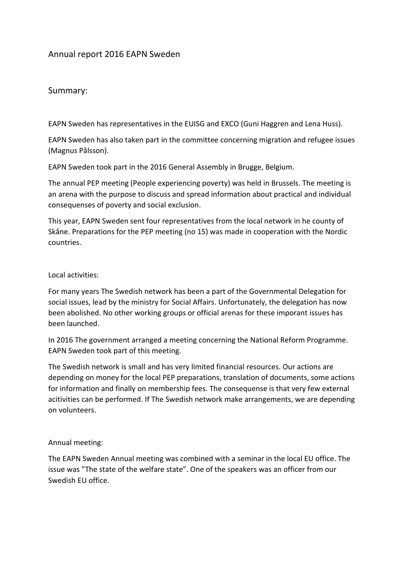# Annual report 2016 EAPN Sweden

## Summary:

EAPN Sweden has representatives in the EUISG and EXCO (Guni Haggren and Lena Huss).

EAPN Sweden has also taken part in the committee concerning migration and refugee issues (Magnus Pålsson).

EAPN Sweden took part in the 2016 General Assembly in Brugge, Belgium.

The annual PEP meeting (People experiencing poverty) was held in Brussels. The meeting is an arena with the purpose to discuss and spread information about practical and individual consequenses of poverty and social exclusion.

This year, EAPN Sweden sent four representatives from the local network in he county of Skåne. Preparations for the PEP meeting (no 15) was made in cooperation with the Nordic countries.

#### Local activities:

For many years The Swedish network has been a part of the Governmental Delegation for social issues, lead by the ministry for Social Affairs. Unfortunately, the delegation has now been abolished. No other working groups or official arenas for these imporant issues has been launched.

In 2016 The government arranged a meeting concerning the National Reform Programme. EAPN Sweden took part of this meeting.

The Swedish network is small and has very limited financial resources. Our actions are depending on money for the local PEP preparations, translation of documents, some actions for information and finally on membership fees. The consequense is that very few external acitivities can be performed. If The Swedish network make arrangements, we are depending on volunteers.

#### Annual meeting:

The EAPN Sweden Annual meeting was combined with a seminar in the local EU office. The issue was "The state of the welfare state". One of the speakers was an officer from our Swedish EU office.